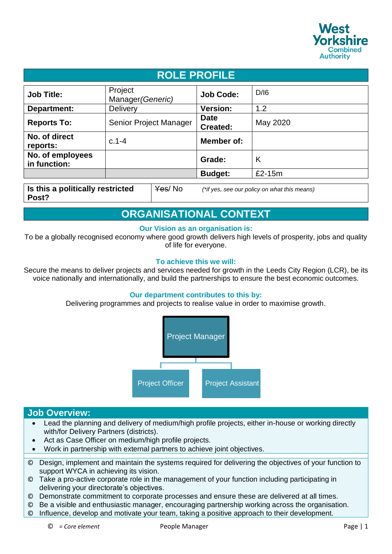

| <b>ROLE PROFILE</b>                                 |                              |                                              |          |
|-----------------------------------------------------|------------------------------|----------------------------------------------|----------|
| <b>Job Title:</b>                                   | Project<br>Manager (Generic) | <b>Job Code:</b>                             | D/16     |
| Department:                                         | <b>Delivery</b>              | <b>Version:</b>                              | 1.2      |
| <b>Reports To:</b>                                  | Senior Project Manager       | <b>Date</b><br><b>Created:</b>               | May 2020 |
| No. of direct<br>reports:                           | $c.1 - 4$                    | Member of:                                   |          |
| No. of employees<br>in function:                    |                              | Grade:                                       | K        |
|                                                     |                              | <b>Budget:</b>                               | £2-15m   |
| Is this a politically restricted<br>Yes/No<br>Post? |                              | (*if yes, see our policy on what this means) |          |

## **ORGANISATIONAL CONTEXT**

## **Our Vision as an organisation is:**

To be a globally recognised economy where good growth delivers high levels of prosperity, jobs and quality of life for everyone.

## **To achieve this we will:**

Secure the means to deliver projects and services needed for growth in the Leeds City Region (LCR), be its voice nationally and internationally, and build the partnerships to ensure the best economic outcomes.

## **Our department contributes to this by:**

Delivering programmes and projects to realise value in order to maximise growth.



## **Job Overview:**

- Lead the planning and delivery of medium/high profile projects, either in-house or working directly with/for Delivery Partners (districts).
- Act as Case Officer on medium/high profile projects.
- Work in partnership with external partners to achieve joint objectives.
- © Design, implement and maintain the systems required for delivering the objectives of your function to support WYCA in achieving its vision.
- © Take a pro-active corporate role in the management of your function including participating in delivering your directorate's objectives.
- © Demonstrate commitment to corporate processes and ensure these are delivered at all times.
- © Be a visible and enthusiastic manager, encouraging partnership working across the organisation.
- © Influence, develop and motivate your team, taking a positive approach to their development.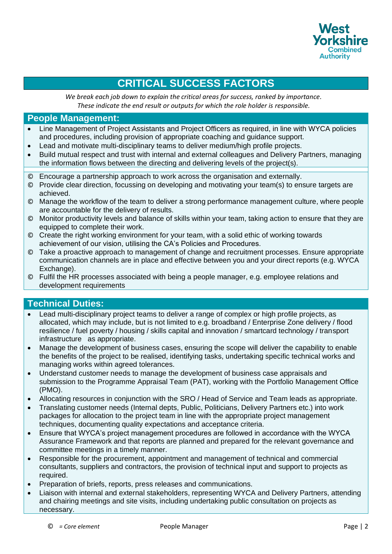

# **CRITICAL SUCCESS FACTORS**

*We break each job down to explain the critical areas for success, ranked by importance. These indicate the end result or outputs for which the role holder is responsible.*

## **People Management:**

- Line Management of Project Assistants and Project Officers as required, in line with WYCA policies and procedures, including provision of appropriate coaching and guidance support.
- Lead and motivate multi-disciplinary teams to deliver medium/high profile projects.
- Build mutual respect and trust with internal and external colleagues and Delivery Partners, managing the information flows between the directing and delivering levels of the project(s).
- © Encourage a partnership approach to work across the organisation and externally.
- © Provide clear direction, focussing on developing and motivating your team(s) to ensure targets are achieved.
- © Manage the workflow of the team to deliver a strong performance management culture, where people are accountable for the delivery of results.
- © Monitor productivity levels and balance of skills within your team, taking action to ensure that they are equipped to complete their work.
- © Create the right working environment for your team, with a solid ethic of working towards achievement of our vision, utilising the CA's Policies and Procedures.
- © Take a proactive approach to management of change and recruitment processes. Ensure appropriate communication channels are in place and effective between you and your direct reports (e.g. WYCA Exchange).
- © Fulfil the HR processes associated with being a people manager, e.g. employee relations and development requirements

## **Technical Duties:**

- Lead multi-disciplinary project teams to deliver a range of complex or high profile projects, as allocated, which may include, but is not limited to e.g. broadband / Enterprise Zone delivery / flood resilience / fuel poverty / housing / skills capital and innovation / smartcard technology / transport infrastructure as appropriate.
- Manage the development of business cases, ensuring the scope will deliver the capability to enable the benefits of the project to be realised, identifying tasks, undertaking specific technical works and managing works within agreed tolerances.
- Understand customer needs to manage the development of business case appraisals and submission to the Programme Appraisal Team (PAT), working with the Portfolio Management Office (PMO).
- Allocating resources in conjunction with the SRO / Head of Service and Team leads as appropriate.
- Translating customer needs (Internal depts, Public, Politicians, Delivery Partners etc.) into work packages for allocation to the project team in line with the appropriate project management techniques, documenting quality expectations and acceptance criteria.
- Ensure that WYCA's project management procedures are followed in accordance with the WYCA Assurance Framework and that reports are planned and prepared for the relevant governance and committee meetings in a timely manner.
- Responsible for the procurement, appointment and management of technical and commercial consultants, suppliers and contractors, the provision of technical input and support to projects as required.
- Preparation of briefs, reports, press releases and communications.
- Liaison with internal and external stakeholders, representing WYCA and Delivery Partners, attending and chairing meetings and site visits, including undertaking public consultation on projects as necessary.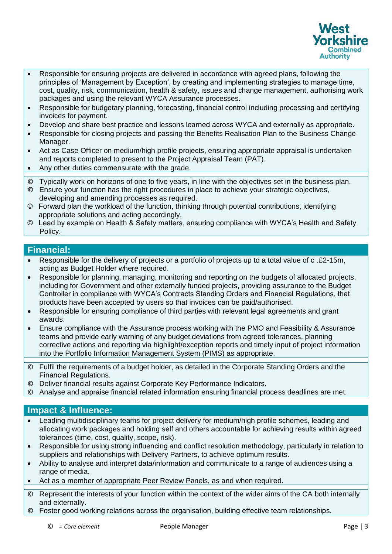

- Responsible for ensuring projects are delivered in accordance with agreed plans, following the principles of 'Management by Exception', by creating and implementing strategies to manage time, cost, quality, risk, communication, health & safety, issues and change management, authorising work packages and using the relevant WYCA Assurance processes.
- Responsible for budgetary planning, forecasting, financial control including processing and certifying invoices for payment.
- Develop and share best practice and lessons learned across WYCA and externally as appropriate.
- Responsible for closing projects and passing the Benefits Realisation Plan to the Business Change Manager.
- Act as Case Officer on medium/high profile projects, ensuring appropriate appraisal is undertaken and reports completed to present to the Project Appraisal Team (PAT).
- Any other duties commensurate with the grade.
- © Typically work on horizons of one to five years, in line with the objectives set in the business plan.
- © Ensure your function has the right procedures in place to achieve your strategic objectives, developing and amending processes as required.
- © Forward plan the workload of the function, thinking through potential contributions, identifying appropriate solutions and acting accordingly.
- © Lead by example on Health & Safety matters, ensuring compliance with WYCA's Health and Safety Policy.

## **Financial:**

- Responsible for the delivery of projects or a portfolio of projects up to a total value of c .£2-15m, acting as Budget Holder where required.
- Responsible for planning, managing, monitoring and reporting on the budgets of allocated projects, including for Government and other externally funded projects, providing assurance to the Budget Controller in compliance with WYCA's Contracts Standing Orders and Financial Regulations, that products have been accepted by users so that invoices can be paid/authorised.
- Responsible for ensuring compliance of third parties with relevant legal agreements and grant awards.
- Ensure compliance with the Assurance process working with the PMO and Feasibility & Assurance teams and provide early warning of any budget deviations from agreed tolerances, planning corrective actions and reporting via highlight/exception reports and timely input of project information into the Portfolio Information Management System (PIMS) as appropriate.
- © Fulfil the requirements of a budget holder, as detailed in the Corporate Standing Orders and the Financial Regulations.
- © Deliver financial results against Corporate Key Performance Indicators.
- © Analyse and appraise financial related information ensuring financial process deadlines are met.

## **Impact & Influence:**

- Leading multidisciplinary teams for project delivery for medium/high profile schemes, leading and allocating work packages and holding self and others accountable for achieving results within agreed tolerances (time, cost, quality, scope, risk).
- Responsible for using strong influencing and conflict resolution methodology, particularly in relation to suppliers and relationships with Delivery Partners, to achieve optimum results.
- Ability to analyse and interpret data/information and communicate to a range of audiences using a range of media.
- Act as a member of appropriate Peer Review Panels, as and when required.
- © Represent the interests of your function within the context of the wider aims of the CA both internally and externally.
- © Foster good working relations across the organisation, building effective team relationships.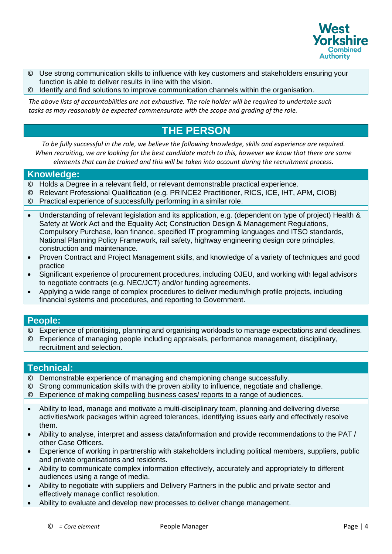

- © Use strong communication skills to influence with key customers and stakeholders ensuring your function is able to deliver results in line with the vision.
- © Identify and find solutions to improve communication channels within the organisation.

*The above lists of accountabilities are not exhaustive. The role holder will be required to undertake such tasks as may reasonably be expected commensurate with the scope and grading of the role.* 

## **THE PERSON**

*To be fully successful in the role, we believe the following knowledge, skills and experience are required. When recruiting, we are looking for the best candidate match to this, however we know that there are some elements that can be trained and this will be taken into account during the recruitment process.*

#### **Knowledge:**

- © Holds a Degree in a relevant field, or relevant demonstrable practical experience.
- © Relevant Professional Qualification (e.g. PRINCE2 Practitioner, RICS, ICE, IHT, APM, CIOB)
- © Practical experience of successfully performing in a similar role.
- Understanding of relevant legislation and its application, e.g. (dependent on type of project) Health & Safety at Work Act and the Equality Act; Construction Design & Management Regulations, Compulsory Purchase, loan finance, specified IT programming languages and ITSO standards, National Planning Policy Framework, rail safety, highway engineering design core principles, construction and maintenance*.*
- Proven Contract and Project Management skills, and knowledge of a variety of techniques and good practice
- Significant experience of procurement procedures, including OJEU, and working with legal advisors to negotiate contracts (e.g. NEC/JCT) and/or funding agreements.
- Applying a wide range of complex procedures to deliver medium/high profile projects, including financial systems and procedures, and reporting to Government.

#### **People:**

- © Experience of prioritising, planning and organising workloads to manage expectations and deadlines.
- © Experience of managing people including appraisals, performance management, disciplinary, recruitment and selection.

## **Technical:**

- © Demonstrable experience of managing and championing change successfully.
- © Strong communication skills with the proven ability to influence, negotiate and challenge.
- © Experience of making compelling business cases/ reports to a range of audiences.
- Ability to lead, manage and motivate a multi-disciplinary team, planning and delivering diverse activities/work packages within agreed tolerances, identifying issues early and effectively resolve them.
- Ability to analyse, interpret and assess data/information and provide recommendations to the PAT / other Case Officers.
- Experience of working in partnership with stakeholders including political members, suppliers, public and private organisations and residents.
- Ability to communicate complex information effectively, accurately and appropriately to different audiences using a range of media.
- Ability to negotiate with suppliers and Delivery Partners in the public and private sector and effectively manage conflict resolution.
- Ability to evaluate and develop new processes to deliver change management.